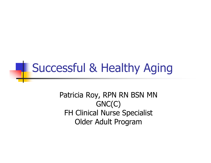# **Successful & Healthy Aging**

Patricia Roy, RPN RN BSN MNGNC(C) FH Clinical Nurse Specialist Older Adult Program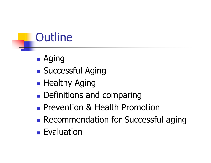# **Outline**

- $\mathbb{R}^3$ Aging
- $\mathbb{R}^3$ **Buccessful Aging**
- $\mathbb{R}^3$ **- Healthy Aging**
- $\mathbb{R}^3$ **• Definitions and comparing**
- $\mathbb{R}^n$ **Prevention & Health Promotion**
- **Recommendation for Successful aging**
- $\mathbb{R}^n$ **Exaluation**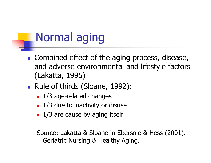### Normal aging

- $\overline{\phantom{a}}$ **Combined effect of the aging process, disease,** and adverse environmental and lifestyle factors (Lakatta, 1995)
- **D** ■ Rule of thirds (Sloane, 1992):
	- П ■ 1/3 age-related changes
	- П **1/3 due to inactivity or disuse**
	- H. **1/3 are cause by aging itself**

Source: Lakatta & Sloane in Ebersole & Hess (2001).Geriatric Nursing & Healthy Aging.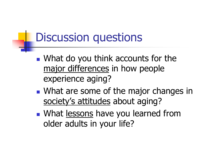### Discussion questions

- $\mathbb{R}^3$ **Notamarking 19 You think accounts for the** major differences in how people experience aging?
- $\mathbb{R}^3$ **Nhat are some of the major changes in** society's attitudes about aging?
- $\mathbb{R}^3$ **Number 19 Number 10 Number 10 Number 10 Number 10 Number 10 Number 10 Number 10 Number 10 Number 10 Number 10 Number 10 Number 10 Number 10 Number 10 Number 10 Number 10 Number 10 Number 10 Number 10 Number 10 Number 10 N** older adults in your life?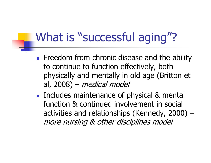### What is "successful aging"?

- T **Filter Freedom from chronic disease and the ability** to continue to function effectively, both physically and mentally in old age (Britton et al, 2008) –medical model
- T **Includes maintenance of physical & mental** function & continued involvement in social activities and relationships (Kennedy, 2000) –more nursing & other disciplines model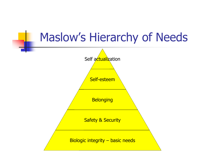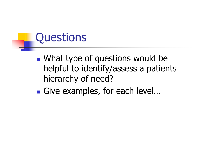### **Questions**

- $\mathbb{R}^3$ **Nhat type of questions would be** helpful to identify/assess a patients hierarchy of need?
- $\mathbb{R}^3$ ■ Give examples, for each level...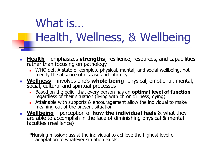# What is…Health, Wellness, & Wellbeing

- У. **Health** – emphasizes **strengths**, resilience, resources, and capabilities rather than focusing on pathology
	- WHO def. A state of complete physical, mental, and social wellbeing, not merely the absence of disease and infirmity
- **Wellness** involves one's **whole being** : physical, emotional, mental, social, cultural and spiritual processes
	- Based on the belief that every person has an **optimal level of function**regardless of their situation (living with chronic illness, dying)
	- Attainable with supports & encouragement allow the individual to make meaning out of the present situation
- **Mellbeing** perception of **how the mass of the set of the set of the set of the set of the set of the set of the set of the set of the set of the set of the set of the set of the set of the set of the set of the set of t** are able to accomplish in the face of diminishing physical & mental faculties (resilience)

\*Nursing mission: assist the individual to achieve the highest level of adaptation to whatever situation exists.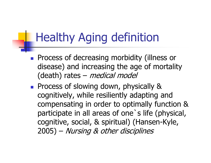### Healthy Aging definition

- $\mathbb{R}^3$ **Process of decreasing morbidity (illness or** disease) and increasing the age of mortality (death) rates – *medical model*
- $\mathbb{R}^2$ **Process of slowing down, physically &** cognitively, while resiliently adapting and compensating in order to optimally function & participate in all areas of one`s life (physical, cognitive, social, & spiritual) (Hansen-Kyle, 2005) – Nursing & other disciplines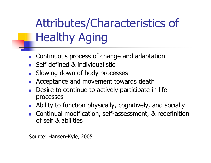# Attributes/Characteristics of Healthy Aging

- × Continuous process of change and adaptation
- F **Self defined & individualistic**
- $\overline{\mathcal{A}}$ Slowing down of body processes
- F Acceptance and movement towards death
- **Desire to continue to actively participate in life** × processes
- $\mathcal{L}_{\text{max}}$ Ability to function physically, cognitively, and socially
- × **Continual modification, self-assessment, & redefinition** of self & abilities

Source: Hansen-Kyle, 2005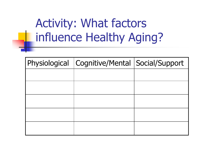# Activity: What factors influence Healthy Aging?

| Physiological   Cognitive/Mental   Social/Support |  |
|---------------------------------------------------|--|
|                                                   |  |
|                                                   |  |
|                                                   |  |
|                                                   |  |
|                                                   |  |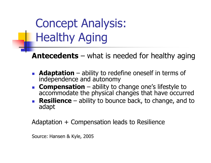Concept Analysis: Healthy Aging

**Antecedents** – what is needed for healthy aging

- k. **Adaptation** – ability to redefine oneself in terms of independence and autonomy
- **Compensation** ability to accommodate the physical changes that have occurred
- **Resilience** ability to bounce back, to change, and t **Resilience** – ability to bounce back, to change, and to adapt

Adaptation + Compensation leads to Resilience

Source: Hansen & Kyle, 2005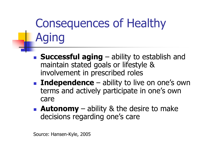# Consequences of Healthy Aging

- $\overline{\mathbb{R}}$ **Successful aging** – ability to establish and<br>maintain stated goals or lifestyle & maintain stated goals or lifestyle & involvement in prescribed roles
- b. **Independence**  – ability to live on one's own terms and actively participate in one's own care
- b. **Autonomy** – ability & the desire to make<br>decisions regarding one's care decisions regarding one's care

Source: Hansen-Kyle, 2005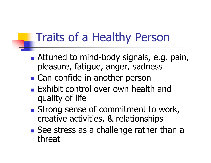### Traits of a Healthy Person

- **Service Service Attuned to mind-body signals, e.g. pain,** pleasure, fatigue, anger, sadness
- Can confide in another person
- **Exhibit control over own health and** quality of life
- Strong sense of commitment to work, creative activities, & relationships
- **Service Service** See stress as a challenge rather than a threat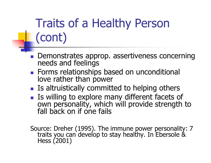# Traits of a Healthy Person (cont)

- $\mathbb{R}^3$ Demonstrates approp. assertiveness concerning needs and feelings
- $\mathbb{R}^3$ **Forms relationships based on unconditional** love rather than power
- **IF Is altruistically committed to helping others**
- Is willing to explore many different facets of own personality, which will provide strength to fall back on if one fails

Source: Dreher (1995). The immune power personality: 7 traits you can develop to stay healthy. In Ebersole & Hess (2001)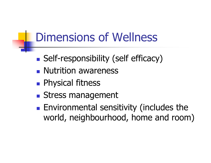### Dimensions of Wellness

- $\mathbb{R}^3$ **Bulf-responsibility (self efficacy)**
- $\mathbb{R}^3$ **Nutrition awareness**
- $\mathbb{R}^3$ **Physical fitness**
- $\mathbb{R}^3$ **Stress management**
- $\mathbb{R}^n$ **Environmental sensitivity (includes the** world, neighbourhood, home and room)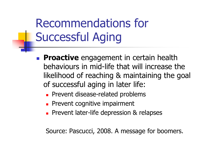# Recommendations for Successful Aging

- T **Proactive** engagement in certain health behaviours in mid-life that will increase the likelihood of reaching & maintaining the goal of successful aging in later life:
	- П **Prevent disease-related problems**
	- П **Prevent cognitive impairment**
	- ٠ **Prevent later-life depression & relapses**

Source: Pascucci, 2008. A message for boomers.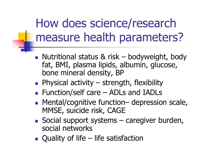### How does science/research measure health parameters?

- T Nutritional status & risk – bodyweight, body<br>fat. BMI. plasma lipids. albumin. glucose. fat, BMI, plasma lipids, albumin, glucose, bone mineral density, BP
- <u>ra</u> **Physical activity** – $-$  strength, flexibility
- H **Function/self care – ADLs and IADLs**<br>- Mental/cognitive function– denressio
- H Mental/cognitive function– depression scale,<br>MMSE, suicide risk, CAGE MMSE, suicide risk, CAGE
- H Social support systems – caregiver burden,<br>Social networks social networks
- H **Quality of life – life satisfaction**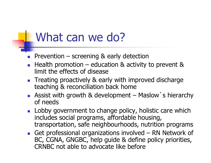#### What can we do?

- × Prevention – screening & early detection<br>- Health promotion – education & activity
- F **Health promotion – education & activity to prevent &** limit the effects of disease limit the effects of disease
- × **Treating proactively & early with improved discharge** teaching & reconciliation back home
- П Assist with growth & development – Maslow's hierarchy<br>of needs of needs
- F Lobby government to change policy, holistic care which includes social programs, affordable housing, transportation, safe neighbourhoods, nutrition programs
- × Get professional organizations involved – RN Network of<br>BC. CGNA. GNGBC. help quide & define policy priorities. BC, CGNA, GNGBC, help guide & define policy priorities, CRNBC not able to advocate like before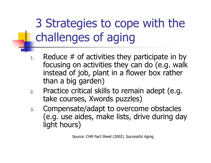3 Strategies to cope with the challenges of aging

- 1.Reduce  $#$  of activities they participate in by focusing on activities they can do (e.g. walk instead of job, plant in a flower box rather than a big garden)
- 2. Practice critical skills to remain adept (e.g. take courses, Xwords puzzles)
- 3. Compensate/adapt to overcome obstacles (e.g. use aides, make lists, drive during day light hours)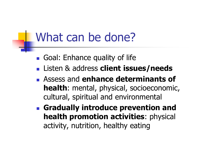#### What can be done?

- H **Goal: Enhance quality of life**
- H Listen & address **client issues/needs**
- H Assess and **enhance determinants of health**: mental, physical, socioeconomic, cultural, spiritual and environmental
- <u>ra</u> **Gradually introduce prevention and health promotion activities**: physical activity, nutrition, healthy eating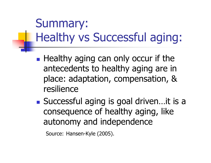### Summary: Healthy vs Successful aging:

- $\mathbb{R}^3$ **Healthy aging can only occur if the** antecedents to healthy aging are in place: adaptation, compensation, & resilience
- $\mathbb{R}^3$ ■ Successful aging is goal driven…it is a consequence of healthy aging, like autonomy and independence

```
Source: Hansen-Kyle (2005).
```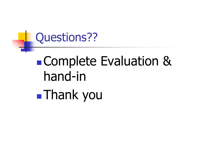### Questions??

#### i<br>List Complete Evaluation & hand-ini<br>List Thank you